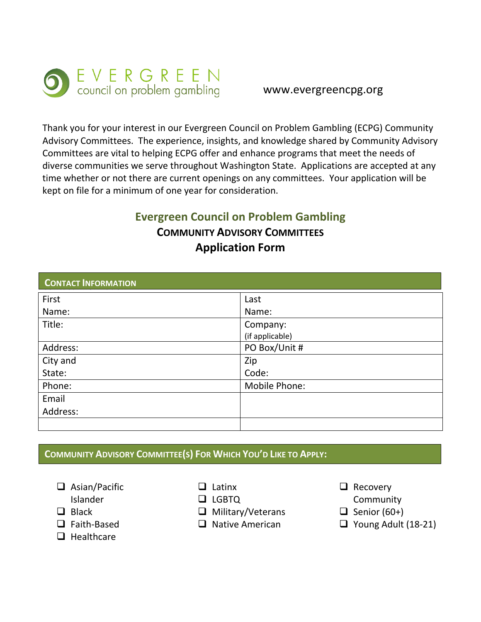

## www.evergreencpg.org

Thank you for your interest in our Evergreen Council on Problem Gambling (ECPG) Community Advisory Committees. The experience, insights, and knowledge shared by Community Advisory Committees are vital to helping ECPG offer and enhance programs that meet the needs of diverse communities we serve throughout Washington State. Applications are accepted at any time whether or not there are current openings on any committees. Your application will be kept on file for a minimum of one year for consideration.

# **Evergreen Council on Problem Gambling COMMUNITY ADVISORY COMMITTEES Application Form**

| <b>CONTACT INFORMATION</b> |                             |
|----------------------------|-----------------------------|
| First                      | Last                        |
| Name:                      | Name:                       |
| Title:                     | Company:<br>(if applicable) |
| Address:                   | PO Box/Unit #               |
| City and                   | Zip                         |
| State:                     | Code:                       |
| Phone:                     | Mobile Phone:               |
| Email                      |                             |
| Address:                   |                             |
|                            |                             |

# **COMMUNITY ADVISORY COMMITTEE(S) FOR WHICH YOU'D LIKE TO APPLY:**

□ Asian/Pacific

Islander

 $\Box$  Black

- □ Faith-Based
- $\Box$  Healthcare
- $\Box$  Latinx
- **LGBTQ**
- $\Box$  Military/Veterans
- $\Box$  Native American
- $\Box$  Recovery
- **Community**
- $\Box$  Senior (60+)
- $\Box$  Young Adult (18-21)